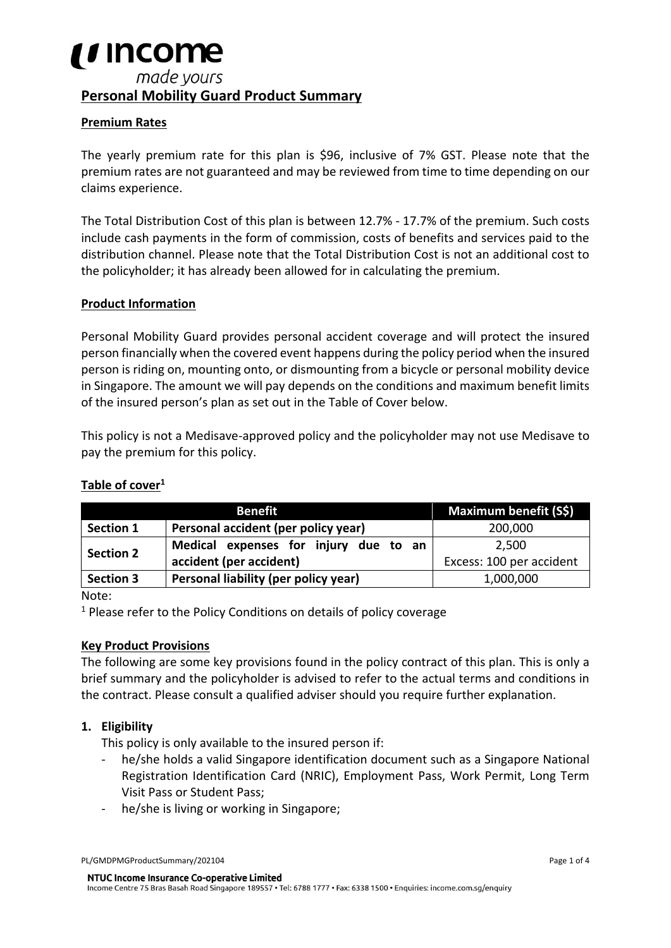# *i i* Income made yours **Personal Mobility Guard Product Summary**

# **Premium Rates**

The yearly premium rate for this plan is \$96, inclusive of 7% GST. Please note that the premium rates are not guaranteed and may be reviewed from time to time depending on our claims experience.

The Total Distribution Cost of this plan is between 12.7% - 17.7% of the premium. Such costs include cash payments in the form of commission, costs of benefits and services paid to the distribution channel. Please note that the Total Distribution Cost is not an additional cost to the policyholder; it has already been allowed for in calculating the premium.

### **Product Information**

Personal Mobility Guard provides personal accident coverage and will protect the insured person financially when the covered event happens during the policy period when the insured person is riding on, mounting onto, or dismounting from a bicycle or personal mobility device in Singapore. The amount we will pay depends on the conditions and maximum benefit limits of the insured person's plan as set out in the Table of Cover below.

This policy is not a Medisave-approved policy and the policyholder may not use Medisave to pay the premium for this policy.

### **Table of cover<sup>1</sup>**

| <b>Benefit</b>   |                                       | Maximum benefit (S\$)    |
|------------------|---------------------------------------|--------------------------|
| <b>Section 1</b> | Personal accident (per policy year)   | 200,000                  |
| <b>Section 2</b> | Medical expenses for injury due to an | 2,500                    |
|                  | accident (per accident)               | Excess: 100 per accident |
| <b>Section 3</b> | Personal liability (per policy year)  | 1,000,000                |

Note:

<sup>1</sup> Please refer to the Policy Conditions on details of policy coverage

### **Key Product Provisions**

The following are some key provisions found in the policy contract of this plan. This is only a brief summary and the policyholder is advised to refer to the actual terms and conditions in the contract. Please consult a qualified adviser should you require further explanation.

### **1. Eligibility**

This policy is only available to the insured person if:

- he/she holds a valid Singapore identification document such as a Singapore National Registration Identification Card (NRIC), Employment Pass, Work Permit, Long Term Visit Pass or Student Pass;
- he/she is living or working in Singapore:

PL/GMDPMGProductSummary/202104 Page 1 of 4

NTUC Income Insurance Co-operative Limited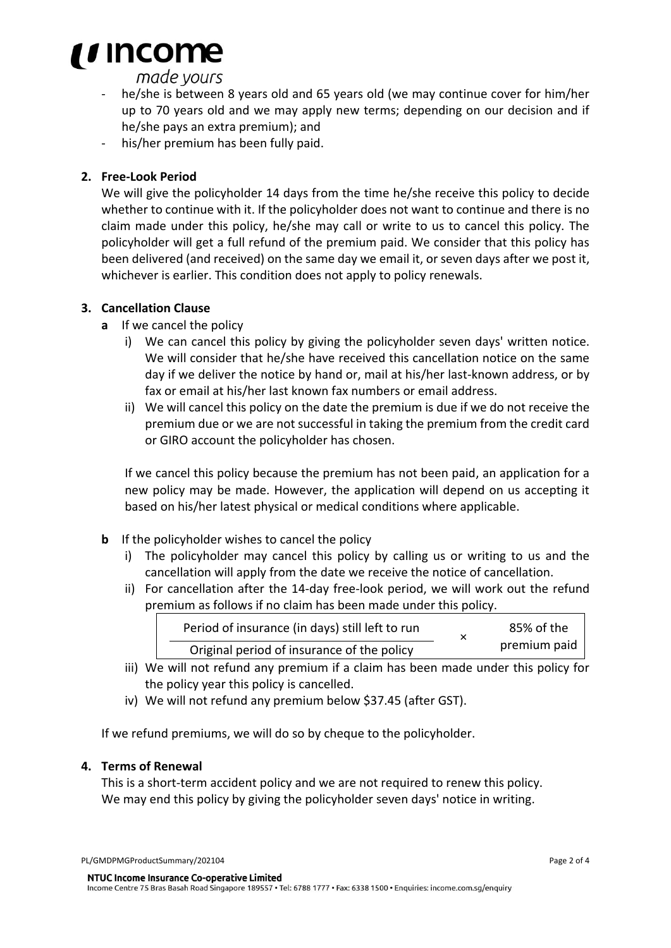# *i i* Income

# made yours

- he/she is between 8 years old and 65 years old (we may continue cover for him/her up to 70 years old and we may apply new terms; depending on our decision and if he/she pays an extra premium); and
- his/her premium has been fully paid.

# **2. Free-Look Period**

We will give the policyholder 14 days from the time he/she receive this policy to decide whether to continue with it. If the policyholder does not want to continue and there is no claim made under this policy, he/she may call or write to us to cancel this policy. The policyholder will get a full refund of the premium paid. We consider that this policy has been delivered (and received) on the same day we email it, or seven days after we post it, whichever is earlier. This condition does not apply to policy renewals.

# **3. Cancellation Clause**

- **a** If we cancel the policy
	- i) We can cancel this policy by giving the policyholder seven days' written notice. We will consider that he/she have received this cancellation notice on the same day if we deliver the notice by hand or, mail at his/her last-known address, or by fax or email at his/her last known fax numbers or email address.
	- ii) We will cancel this policy on the date the premium is due if we do not receive the premium due or we are not successful in taking the premium from the credit card or GIRO account the policyholder has chosen.

If we cancel this policy because the premium has not been paid, an application for a new policy may be made. However, the application will depend on us accepting it based on his/her latest physical or medical conditions where applicable.

- **b** If the policyholder wishes to cancel the policy
	- i) The policyholder may cancel this policy by calling us or writing to us and the cancellation will apply from the date we receive the notice of cancellation.
	- ii) For cancellation after the 14-day free-look period, we will work out the refund premium as follows if no claim has been made under this policy.

| Period of insurance (in days) still left to run | 85% of the   |
|-------------------------------------------------|--------------|
| Original period of insurance of the policy      | premium paid |

- iii) We will not refund any premium if a claim has been made under this policy for the policy year this policy is cancelled.
- iv) We will not refund any premium below \$37.45 (after GST).

If we refund premiums, we will do so by cheque to the policyholder.

### **4. Terms of Renewal**

This is a short-term accident policy and we are not required to renew this policy. We may end this policy by giving the policyholder seven days' notice in writing.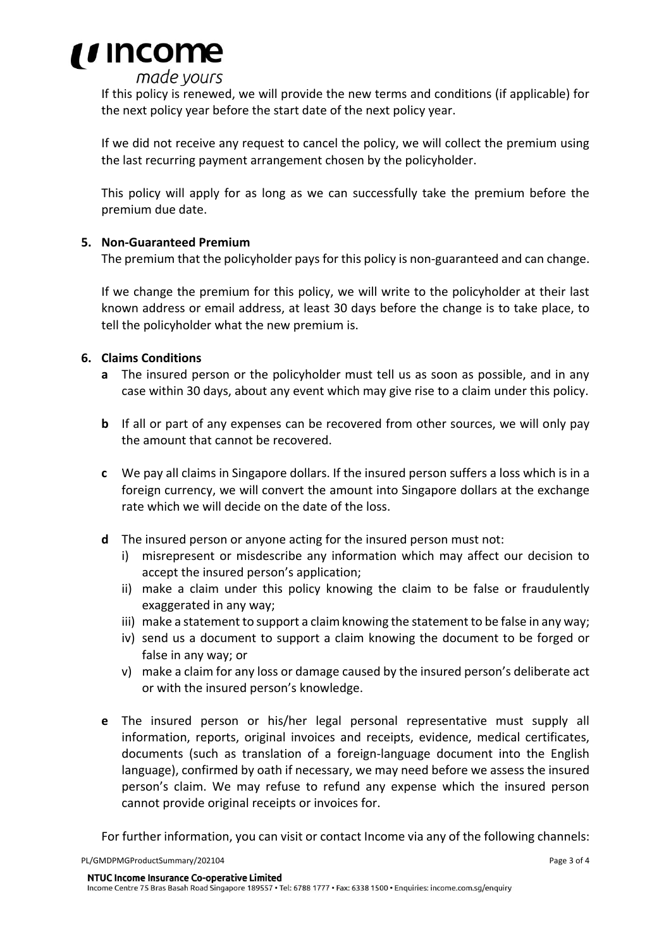

# made yours

If this policy is renewed, we will provide the new terms and conditions (if applicable) for the next policy year before the start date of the next policy year.

If we did not receive any request to cancel the policy, we will collect the premium using the last recurring payment arrangement chosen by the policyholder.

This policy will apply for as long as we can successfully take the premium before the premium due date.

### **5. Non-Guaranteed Premium**

The premium that the policyholder pays for this policy is non-guaranteed and can change.

If we change the premium for this policy, we will write to the policyholder at their last known address or email address, at least 30 days before the change is to take place, to tell the policyholder what the new premium is.

### **6. Claims Conditions**

- **a** The insured person or the policyholder must tell us as soon as possible, and in any case within 30 days, about any event which may give rise to a claim under this policy.
- **b** If all or part of any expenses can be recovered from other sources, we will only pay the amount that cannot be recovered.
- **c** We pay all claims in Singapore dollars. If the insured person suffers a loss which is in a foreign currency, we will convert the amount into Singapore dollars at the exchange rate which we will decide on the date of the loss.
- **d** The insured person or anyone acting for the insured person must not:
	- i) misrepresent or misdescribe any information which may affect our decision to accept the insured person's application;
	- ii) make a claim under this policy knowing the claim to be false or fraudulently exaggerated in any way;
	- iii) make a statement to support a claim knowing the statement to be false in any way;
	- iv) send us a document to support a claim knowing the document to be forged or false in any way; or
	- v) make a claim for any loss or damage caused by the insured person's deliberate act or with the insured person's knowledge.
- **e** The insured person or his/her legal personal representative must supply all information, reports, original invoices and receipts, evidence, medical certificates, documents (such as translation of a foreign-language document into the English language), confirmed by oath if necessary, we may need before we assess the insured person's claim. We may refuse to refund any expense which the insured person cannot provide original receipts or invoices for.

For further information, you can visit or contact Income via any of the following channels:

NTUC Income Insurance Co-operative Limited

Income Centre 75 Bras Basah Road Singapore 189557 · Tel: 6788 1777 · Fax: 6338 1500 · Enquiries: income.com.sg/enquiry